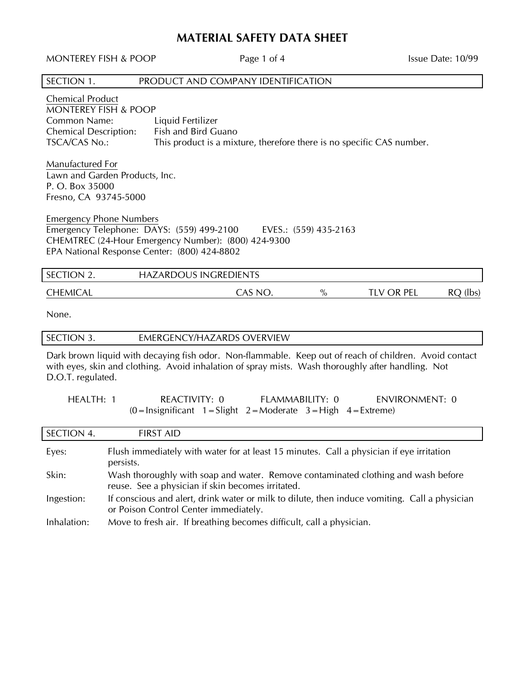# **MATERIAL SAFETY DATA SHEET**

MONTEREY FISH & POOP Page 1 of 4 Issue Date: 10/99 SECTION 1. PRODUCT AND COMPANY IDENTIFICATION Chemical Product MONTEREY FISH & POOP Common Name: Liquid Fertilizer Chemical Description: Fish and Bird Guano TSCA/CAS No.: This product is a mixture, therefore there is no specific CAS number. Manufactured For Lawn and Garden Products, Inc. P. O. Box 35000 Fresno, CA 93745-5000 Emergency Phone Numbers Emergency Telephone: DAYS: (559) 499-2100 EVES.: (559) 435-2163 CHEMTREC (24-Hour Emergency Number): (800) 424-9300 EPA National Response Center: (800) 424-8802 SECTION 2. HAZARDOUS INGREDIENTS CHEMICAL CAS NO.  $\%$  TLV OR PEL RQ (lbs) None. SECTION 3. EMERGENCY/HAZARDS OVERVIEW Dark brown liquid with decaying fish odor. Non-flammable. Keep out of reach of children. Avoid contact with eyes, skin and clothing. Avoid inhalation of spray mists. Wash thoroughly after handling. Not D.O.T. regulated. HEALTH: 1 REACTIVITY: 0 FLAMMABILITY: 0 ENVIRONMENT: 0  $(0 = \text{Insignificant } 1 = \text{Slight } 2 = \text{Modern}$  3 = High 4 = Extreme) SECTION 4. FIRST AID Eyes: Flush immediately with water for at least 15 minutes. Call a physician if eye irritation persists. Skin: Wash thoroughly with soap and water. Remove contaminated clothing and wash before reuse. See a physician if skin becomes irritated. Ingestion: If conscious and alert, drink water or milk to dilute, then induce vomiting. Call a physician or Poison Control Center immediately. Inhalation: Move to fresh air. If breathing becomes difficult, call a physician.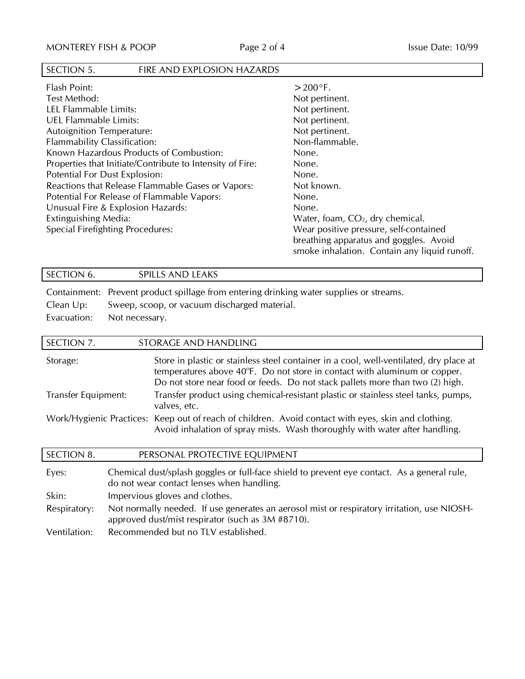# SECTION 5. FIRE AND EXPLOSION HAZARDS

| Flash Point:                                              | $>$ 200 $\degree$ F.                         |
|-----------------------------------------------------------|----------------------------------------------|
| Test Method:                                              | Not pertinent.                               |
| LEL Flammable Limits:                                     | Not pertinent.                               |
| <b>UEL Flammable Limits:</b>                              | Not pertinent.                               |
| <b>Autoignition Temperature:</b>                          | Not pertinent.                               |
| <b>Flammability Classification:</b>                       | Non-flammable.                               |
| Known Hazardous Products of Combustion:                   | None.                                        |
| Properties that Initiate/Contribute to Intensity of Fire: | None.                                        |
| Potential For Dust Explosion:                             | None.                                        |
| Reactions that Release Flammable Gases or Vapors:         | Not known.                                   |
| Potential For Release of Flammable Vapors:                | None.                                        |
| Unusual Fire & Explosion Hazards:                         | None.                                        |
| Extinguishing Media:                                      | Water, foam, CO <sub>2</sub> , dry chemical. |
| Special Firefighting Procedures:                          | Wear positive pressure, self-contained       |
|                                                           | breathing apparatus and goggles. Avoid       |
|                                                           | smoke inhalation. Contain any liquid runoff. |

| SECTION 6. |  | <b>SPILLS AND LEAKS</b> |  |  |  |  |  |  |
|------------|--|-------------------------|--|--|--|--|--|--|
|            |  |                         |  |  |  |  |  |  |

Containment: Prevent product spillage from entering drinking water supplies or streams. Clean Up: Sweep, scoop, or vacuum discharged material. Evacuation: Not necessary.

| SECTION 7.               |                                | STORAGE AND HANDLING                                                                                                                                                                                                                                 |  |  |
|--------------------------|--------------------------------|------------------------------------------------------------------------------------------------------------------------------------------------------------------------------------------------------------------------------------------------------|--|--|
| Storage:                 |                                | Store in plastic or stainless steel container in a cool, well-ventilated, dry place at<br>temperatures above 40°F. Do not store in contact with aluminum or copper.<br>Do not store near food or feeds. Do not stack pallets more than two (2) high. |  |  |
| Transfer Equipment:      |                                | Transfer product using chemical-resistant plastic or stainless steel tanks, pumps,<br>valves, etc.                                                                                                                                                   |  |  |
| Work/Hygienic Practices: |                                | Keep out of reach of children. Avoid contact with eyes, skin and clothing.<br>Avoid inhalation of spray mists. Wash thoroughly with water after handling.                                                                                            |  |  |
| <b>SECTION 8.</b>        |                                | PERSONAL PROTECTIVE EQUIPMENT                                                                                                                                                                                                                        |  |  |
| Eyes:                    |                                | Chemical dust/splash goggles or full-face shield to prevent eye contact. As a general rule,<br>do not wear contact lenses when handling.                                                                                                             |  |  |
| Skin:                    | Impervious gloves and clothes. |                                                                                                                                                                                                                                                      |  |  |
| Respiratory:             |                                | Not normally needed. If use generates an aerosol mist or respiratory irritation, use NIOSH-<br>approved dust/mist respirator (such as 3M #8710).                                                                                                     |  |  |

Ventilation: Recommended but no TLV established.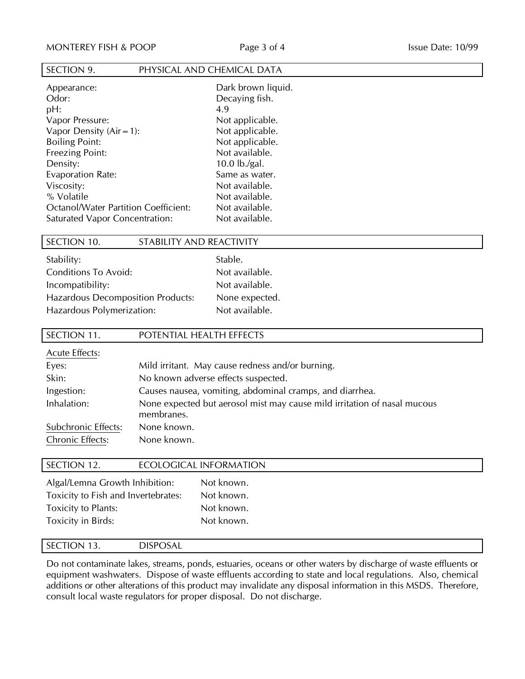# SECTION 9. PHYSICAL AND CHEMICAL DATA

Appearance: Dark brown liquid. Odor: Decaying fish. pH: 4.9 Vapor Pressure: Not applicable. Vapor Density  $(Air = 1)$ : Not applicable. Boiling Point: Not applicable. Freezing Point: Not available. Density: 10.0 lb./gal. Evaporation Rate: Same as water. Viscosity: Not available. % Volatile 2008 2012 10:00 Not available. Octanol/Water Partition Coefficient: Not available.<br>
Saturated Vapor Concentration: Not available. Saturated Vapor Concentration:

### SECTION 10. STABILITY AND REACTIVITY

| Stability:                               | Stable.        |
|------------------------------------------|----------------|
| <b>Conditions To Avoid:</b>              | Not available. |
| Incompatibility:                         | Not available. |
| <b>Hazardous Decomposition Products:</b> | None expected. |
| Hazardous Polymerization:                | Not available. |

## SECTION 11. POTENTIAL HEALTH EFFECTS

| <b>Acute Effects:</b> |                                                                                        |
|-----------------------|----------------------------------------------------------------------------------------|
| Eyes:                 | Mild irritant. May cause redness and/or burning.                                       |
| Skin:                 | No known adverse effects suspected.                                                    |
| Ingestion:            | Causes nausea, vomiting, abdominal cramps, and diarrhea.                               |
| Inhalation:           | None expected but aerosol mist may cause mild irritation of nasal mucous<br>membranes. |
| Subchronic Effects:   | None known.                                                                            |
| Chronic Effects:      | None known.                                                                            |

# SECTION 12. ECOLOGICAL INFORMATION Algal/Lemna Growth Inhibition: Not known. Toxicity to Fish and Invertebrates: Not known. Toxicity to Plants: Not known. Toxicity in Birds: Not known.

### SECTION 13. DISPOSAL

Do not contaminate lakes, streams, ponds, estuaries, oceans or other waters by discharge of waste effluents or equipment washwaters. Dispose of waste effluents according to state and local regulations. Also, chemical additions or other alterations of this product may invalidate any disposal information in this MSDS. Therefore, consult local waste regulators for proper disposal. Do not discharge.